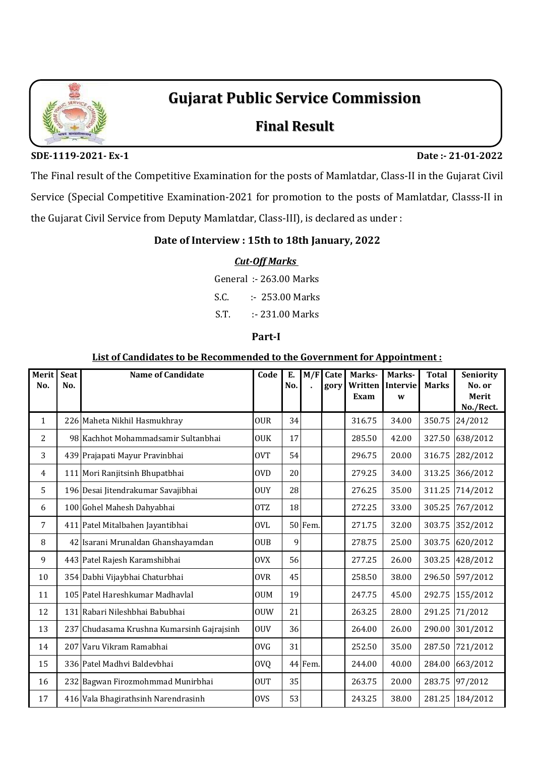

# **Gujarat Public Service Commission**

## **Final Result**

**SDE-1119-2021- Ex-1 Date :- 21-01-2022**

The Final result of the Competitive Examination for the posts of Mamlatdar, Class-II in the Gujarat Civil Service (Special Competitive Examination-2021 for promotion to the posts of Mamlatdar, Classs-II in the Gujarat Civil Service from Deputy Mamlatdar, Class-III), is declared as under :

#### **Date of Interview : 15th to 18th January, 2022**

#### *Cut-Off Marks*

General :- 263.00 Marks

S.C. :- 253.00 Marks

S.T. :- 231.00 Marks

#### **Part-I**

#### **List of Candidates to be Recommended to the Government for Appointment :**

| Merit<br>No. | <b>Seat</b><br>No. | <b>Name of Candidate</b>                   | Code       | E.<br>No. | M/F     | Cate<br>gory | Marks-<br>Written<br>Exam | Marks-<br>Intervie<br>W | <b>Total</b><br><b>Marks</b> | Seniority<br>No. or<br>Merit<br>No./Rect. |
|--------------|--------------------|--------------------------------------------|------------|-----------|---------|--------------|---------------------------|-------------------------|------------------------------|-------------------------------------------|
| $\mathbf{1}$ |                    | 226 Maheta Nikhil Hasmukhray               | <b>OUR</b> | 34        |         |              | 316.75                    | 34.00                   | 350.75                       | 24/2012                                   |
| 2            |                    | 98 Kachhot Mohammadsamir Sultanbhai        | <b>OUK</b> | 17        |         |              | 285.50                    | 42.00                   | 327.50                       | 638/2012                                  |
| 3            |                    | 439 Prajapati Mayur Pravinbhai             | <b>OVT</b> | 54        |         |              | 296.75                    | 20.00                   | 316.75                       | 282/2012                                  |
| 4            |                    | 111 Mori Ranjitsinh Bhupatbhai             | <b>OVD</b> | 20        |         |              | 279.25                    | 34.00                   | 313.25                       | 366/2012                                  |
| 5            |                    | 196 Desai Jitendrakumar Savajibhai         | <b>OUY</b> | 28        |         |              | 276.25                    | 35.00                   | 311.25                       | 714/2012                                  |
| 6            |                    | 100 Gohel Mahesh Dahyabhai                 | <b>OTZ</b> | 18        |         |              | 272.25                    | 33.00                   | 305.25                       | 767/2012                                  |
| 7            |                    | 411 Patel Mitalbahen Jayantibhai           | <b>OVL</b> |           | 50 Fem. |              | 271.75                    | 32.00                   | 303.75                       | 352/2012                                  |
| 8            |                    | 42 Isarani Mrunaldan Ghanshayamdan         | <b>OUB</b> | 9         |         |              | 278.75                    | 25.00                   | 303.75                       | 620/2012                                  |
| 9            |                    | 443 Patel Rajesh Karamshibhai              | <b>OVX</b> | 56        |         |              | 277.25                    | 26.00                   | 303.25                       | 428/2012                                  |
| 10           |                    | 354 Dabhi Vijaybhai Chaturbhai             | <b>OVR</b> | 45        |         |              | 258.50                    | 38.00                   | 296.50                       | 597/2012                                  |
| 11           |                    | 105 Patel Hareshkumar Madhavlal            | <b>OUM</b> | 19        |         |              | 247.75                    | 45.00                   | 292.75                       | 155/2012                                  |
| 12           |                    | 131 Rabari Nileshbhai Babubhai             | <b>OUW</b> | 21        |         |              | 263.25                    | 28.00                   | 291.25                       | 71/2012                                   |
| 13           |                    | 237 Chudasama Krushna Kumarsinh Gajrajsinh | <b>OUV</b> | 36        |         |              | 264.00                    | 26.00                   | 290.00                       | 301/2012                                  |
| 14           |                    | 207 Varu Vikram Ramabhai                   | <b>OVG</b> | 31        |         |              | 252.50                    | 35.00                   | 287.50                       | 721/2012                                  |
| 15           |                    | 336 Patel Madhyi Baldeybhai                | <b>OVQ</b> |           | 44 Fem. |              | 244.00                    | 40.00                   | 284.00                       | 663/2012                                  |
| 16           |                    | 232 Bagwan Firozmohmmad Munirbhai          | <b>OUT</b> | 35        |         |              | 263.75                    | 20.00                   | 283.75                       | 97/2012                                   |
| 17           |                    | 416 Vala Bhagirathsinh Narendrasinh        | <b>OVS</b> | 53        |         |              | 243.25                    | 38.00                   | 281.25                       | 184/2012                                  |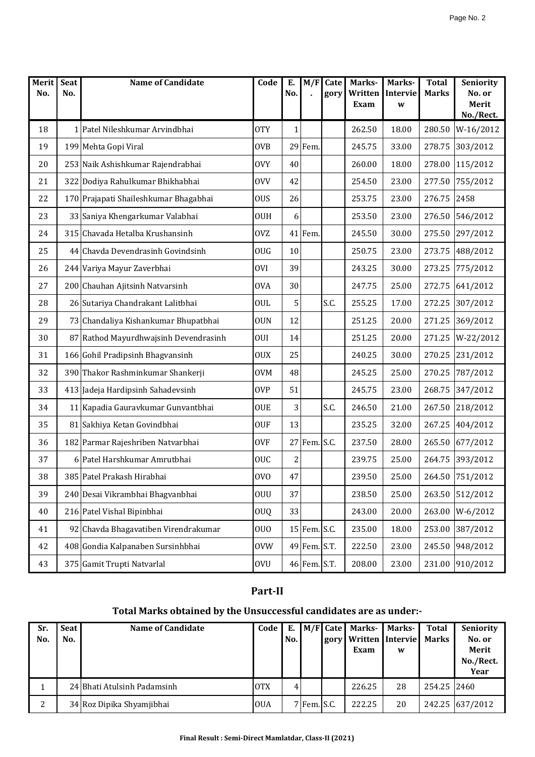| Merit<br>No. | <b>Seat</b><br>No. | <b>Name of Candidate</b>              | Code            | Е.<br>No.    | M/F          | Cate | Marks-<br>Written | Marks-<br>Intervie | <b>Total</b><br><b>Marks</b> | <b>Seniority</b><br>No. or |
|--------------|--------------------|---------------------------------------|-----------------|--------------|--------------|------|-------------------|--------------------|------------------------------|----------------------------|
|              |                    |                                       |                 |              |              | gory | Exam              | W                  |                              | Merit                      |
|              |                    |                                       |                 |              |              |      |                   |                    |                              | No./Rect.                  |
| 18           |                    | 1 Patel Nileshkumar Arvindbhai        | <b>OTY</b>      | $\mathbf{1}$ |              |      | 262.50            | 18.00              | 280.50                       | W-16/2012                  |
| 19           |                    | 199 Mehta Gopi Viral                  | <b>OVB</b>      |              | 29 Fem.      |      | 245.75            | 33.00              | 278.75                       | 303/2012                   |
| 20           |                    | 253 Naik Ashishkumar Rajendrabhai     | <b>OVY</b>      | 40           |              |      | 260.00            | 18.00              | 278.00                       | 115/2012                   |
| 21           |                    | 322 Dodiya Rahulkumar Bhikhabhai      | <b>OVV</b>      | 42           |              |      | 254.50            | 23.00              | 277.50                       | 755/2012                   |
| 22           |                    | 170 Prajapati Shaileshkumar Bhagabhai | <b>OUS</b>      | 26           |              |      | 253.75            | 23.00              | 276.75                       | 2458                       |
| 23           |                    | 33 Saniya Khengarkumar Valabhai       | <b>OUH</b>      | 6            |              |      | 253.50            | 23.00              | 276.50                       | 546/2012                   |
| 24           |                    | 315 Chavada Hetalba Krushansinh       | <b>OVZ</b>      |              | 41 Fem.      |      | 245.50            | 30.00              | 275.50                       | 297/2012                   |
| 25           |                    | 44 Chavda Devendrasinh Govindsinh     | <b>OUG</b>      | 10           |              |      | 250.75            | 23.00              | 273.75                       | 488/2012                   |
| 26           |                    | 244 Variya Mayur Zaverbhai            | <b>OVI</b>      | 39           |              |      | 243.25            | 30.00              | 273.25                       | 775/2012                   |
| 27           |                    | 200 Chauhan Ajitsinh Natvarsinh       | <b>OVA</b>      | 30           |              |      | 247.75            | 25.00              | 272.75                       | 641/2012                   |
| 28           |                    | 26 Sutariya Chandrakant Lalitbhai     | <b>OUL</b>      | 5            |              | S.C. | 255.25            | 17.00              | 272.25                       | 307/2012                   |
| 29           |                    | 73 Chandaliya Kishankumar Bhupatbhai  | <b>OUN</b>      | 12           |              |      | 251.25            | 20.00              | 271.25                       | 369/2012                   |
| 30           |                    | 87 Rathod Mayurdhwajsinh Devendrasinh | <b>OUI</b>      | 14           |              |      | 251.25            | 20.00              | 271.25                       | W-22/2012                  |
| 31           |                    | 166 Gohil Pradipsinh Bhagyansinh      | <b>OUX</b>      | 25           |              |      | 240.25            | 30.00              | 270.25                       | 231/2012                   |
| 32           |                    | 390 Thakor Rashminkumar Shankerji     | <b>OVM</b>      | 48           |              |      | 245.25            | 25.00              | 270.25                       | 787/2012                   |
| 33           |                    | 413 Jadeja Hardipsinh Sahadevsinh     | <b>OVP</b>      | 51           |              |      | 245.75            | 23.00              | 268.75                       | 347/2012                   |
| 34           |                    | 11 Kapadia Gauravkumar Gunvantbhai    | <b>OUE</b>      | 3            |              | S.C. | 246.50            | 21.00              | 267.50                       | 218/2012                   |
| 35           |                    | 81 Sakhiya Ketan Govindbhai           | <b>OUF</b>      | 13           |              |      | 235.25            | 32.00              | 267.25                       | 404/2012                   |
| 36           |                    | 182 Parmar Rajeshriben Natvarbhai     | <b>OVF</b>      |              | 27 Fem. S.C. |      | 237.50            | 28.00              | 265.50                       | 677/2012                   |
| 37           |                    | 6 Patel Harshkumar Amrutbhai          | OUC             | 2            |              |      | 239.75            | 25.00              | 264.75                       | 393/2012                   |
| 38           |                    | 385 Patel Prakash Hirabhai            | OV <sub>O</sub> | 47           |              |      | 239.50            | 25.00              |                              | 264.50 751/2012            |
| 39           |                    | 240 Desai Vikrambhai Bhagyanbhai      | <b>OUU</b>      | 37           |              |      | 238.50            | 25.00              | 263.50                       | 512/2012                   |
| 40           |                    | 216 Patel Vishal Bipinbhai            | OUQ             | 33           |              |      | 243.00            | 20.00              | 263.00                       | W-6/2012                   |
| 41           |                    | 92 Chavda Bhagavatiben Virendrakumar  | <b>OUO</b>      |              | 15 Fem. S.C. |      | 235.00            | 18.00              | 253.00                       | 387/2012                   |
| 42           |                    | 408 Gondia Kalpanaben Sursinhbhai     | <b>OVW</b>      |              | 49 Fem. S.T. |      | 222.50            | 23.00              | 245.50                       | 948/2012                   |
| 43           |                    | 375 Gamit Trupti Natvarlal            | <b>OVU</b>      |              | 46 Fem. S.T. |      | 208.00            | 23.00              | 231.00                       | 910/2012                   |

### **Part-II**

## **Total Marks obtained by the Unsuccessful candidates are as under:-**

| Sr.<br>No. | Seat I<br>No. | <b>Name of Candidate</b>    | Code       | Е.<br>No. |             | M/F Cate Marks-<br>gory   Written   Intervie<br>Exam | <b>Marks-</b><br>W | Total<br><b>Marks</b> | <b>Seniority</b><br>No. or<br>Merit<br>No./Rect.<br>Year |
|------------|---------------|-----------------------------|------------|-----------|-------------|------------------------------------------------------|--------------------|-----------------------|----------------------------------------------------------|
|            |               | 24 Bhati Atulsinh Padamsinh | <b>OTX</b> |           |             | 226.25                                               | 28                 | 254.25 2460           |                                                          |
| 2          |               | 34 Roz Dipika Shyamjibhai   | <b>OUA</b> |           | 7 Fem. S.C. | 222.25                                               | 20                 |                       | 242.25 637/2012                                          |